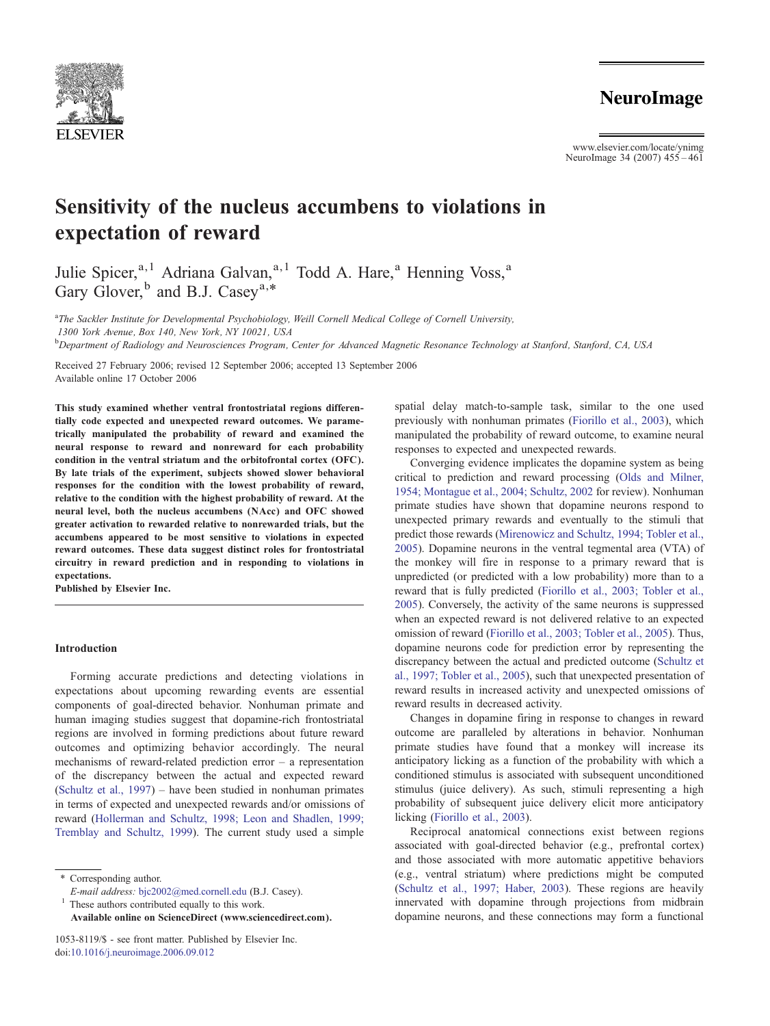

## **NeuroImage**

www.elsevier.com/locate/ynimg NeuroImage 34 (2007) 455–461

# Sensitivity of the nucleus accumbens to violations in expectation of reward

Julie Spicer,<sup>a,1</sup> Adriana Galvan,<sup>a,1</sup> Todd A. Hare,<sup>a</sup> Henning Voss,<sup>a</sup> Gary Glover,  $^{\rm b}$  and B.J. Casey<sup>a, $*$ </sup>

a The Sackler Institute for Developmental Psychobiology, Weill Cornell Medical College of Cornell University, 1300 York Avenue, Box 140, New York, NY 10021, USA

b Department of Radiology and Neurosciences Program, Center for Advanced Magnetic Resonance Technology at Stanford, Stanford, CA, USA

Received 27 February 2006; revised 12 September 2006; accepted 13 September 2006 Available online 17 October 2006

This study examined whether ventral frontostriatal regions differentially code expected and unexpected reward outcomes. We parametrically manipulated the probability of reward and examined the neural response to reward and nonreward for each probability condition in the ventral striatum and the orbitofrontal cortex (OFC). By late trials of the experiment, subjects showed slower behavioral responses for the condition with the lowest probability of reward, relative to the condition with the highest probability of reward. At the neural level, both the nucleus accumbens (NAcc) and OFC showed greater activation to rewarded relative to nonrewarded trials, but the accumbens appeared to be most sensitive to violations in expected reward outcomes. These data suggest distinct roles for frontostriatal circuitry in reward prediction and in responding to violations in expectations.

Published by Elsevier Inc.

#### Introduction

Forming accurate predictions and detecting violations in expectations about upcoming rewarding events are essential components of goal-directed behavior. Nonhuman primate and human imaging studies suggest that dopamine-rich frontostriatal regions are involved in forming predictions about future reward outcomes and optimizing behavior accordingly. The neural mechanisms of reward-related prediction error – a representation of the discrepancy between the actual and expected reward [\(Schultz et al., 1997\)](#page-6-0) – have been studied in nonhuman primates in terms of expected and unexpected rewards and/or omissions of reward ([Hollerman and Schultz, 1998; Leon and Shadlen, 1999;](#page-6-0) [Tremblay and Schultz, 1999](#page-6-0)). The current study used a simple

Corresponding author.

E-mail address: [bjc2002@med.cornell.edu](mailto:bjc2002@med.cornell.edu) (B.J. Casey). These authors contributed equally to this work.

Available online on ScienceDirect (www.sciencedirect.com).

1053-8119/\$ - see front matter. Published by Elsevier Inc. doi:[10.1016/j.neuroimage.2006.09.012](http://dx.doi.org/10.1016/j.neuroimage.2006.09.012)

spatial delay match-to-sample task, similar to the one used previously with nonhuman primates ([Fiorillo et al., 2003](#page-6-0)), which manipulated the probability of reward outcome, to examine neural responses to expected and unexpected rewards.

Converging evidence implicates the dopamine system as being critical to prediction and reward processing [\(Olds and Milner,](#page-6-0) [1954; Montague et al., 2004; Schultz, 2002](#page-6-0) for review). Nonhuman primate studies have shown that dopamine neurons respond to unexpected primary rewards and eventually to the stimuli that predict those rewards [\(Mirenowicz and Schultz, 1994; Tobler et al.,](#page-6-0) [2005](#page-6-0)). Dopamine neurons in the ventral tegmental area (VTA) of the monkey will fire in response to a primary reward that is unpredicted (or predicted with a low probability) more than to a reward that is fully predicted [\(Fiorillo et al., 2003; Tobler et al.,](#page-6-0) [2005](#page-6-0)). Conversely, the activity of the same neurons is suppressed when an expected reward is not delivered relative to an expected omission of reward [\(Fiorillo et al., 2003; Tobler et al., 2005](#page-6-0)). Thus, dopamine neurons code for prediction error by representing the discrepancy between the actual and predicted outcome ([Schultz et](#page-6-0) [al., 1997; Tobler et al., 2005\)](#page-6-0), such that unexpected presentation of reward results in increased activity and unexpected omissions of reward results in decreased activity.

Changes in dopamine firing in response to changes in reward outcome are paralleled by alterations in behavior. Nonhuman primate studies have found that a monkey will increase its anticipatory licking as a function of the probability with which a conditioned stimulus is associated with subsequent unconditioned stimulus (juice delivery). As such, stimuli representing a high probability of subsequent juice delivery elicit more anticipatory licking [\(Fiorillo et al., 2003\)](#page-6-0).

Reciprocal anatomical connections exist between regions associated with goal-directed behavior (e.g., prefrontal cortex) and those associated with more automatic appetitive behaviors (e.g., ventral striatum) where predictions might be computed [\(Schultz et al., 1997; Haber, 2003\)](#page-6-0). These regions are heavily innervated with dopamine through projections from midbrain dopamine neurons, and these connections may form a functional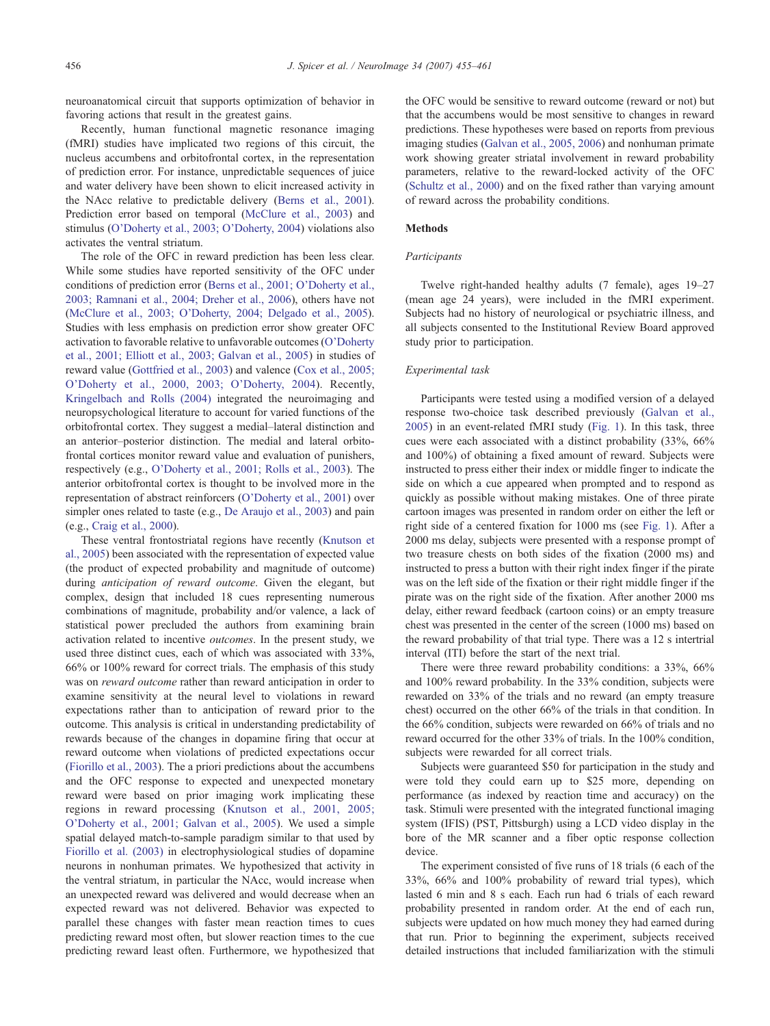neuroanatomical circuit that supports optimization of behavior in favoring actions that result in the greatest gains.

Recently, human functional magnetic resonance imaging (fMRI) studies have implicated two regions of this circuit, the nucleus accumbens and orbitofrontal cortex, in the representation of prediction error. For instance, unpredictable sequences of juice and water delivery have been shown to elicit increased activity in the NAcc relative to predictable delivery ([Berns et al., 2001\)](#page-5-0). Prediction error based on temporal ([McClure et al., 2003\)](#page-6-0) and stimulus (O'[Doherty et al., 2003; O](#page-6-0)'Doherty, 2004) violations also activates the ventral striatum.

The role of the OFC in reward prediction has been less clear. While some studies have reported sensitivity of the OFC under conditions of prediction error ([Berns et al., 2001; O](#page-5-0)'Doherty et al., [2003; Ramnani et al., 2004; Dreher et al., 2006](#page-5-0)), others have not (McClure et al., 2003; O'[Doherty, 2004; Delgado et al., 2005\)](#page-6-0). Studies with less emphasis on prediction error show greater OFC activation to favorable relative to unfavorable outcomes (O'[Doherty](#page-6-0) [et al., 2001; Elliott et al., 2003; Galvan et al., 2005\)](#page-6-0) in studies of reward value [\(Gottfried et al., 2003](#page-6-0)) and valence [\(Cox et al., 2005;](#page-6-0) O'[Doherty et al., 2000, 2003; O](#page-6-0)'Doherty, 2004). Recently, [Kringelbach and Rolls \(2004\)](#page-6-0) integrated the neuroimaging and neuropsychological literature to account for varied functions of the orbitofrontal cortex. They suggest a medial–lateral distinction and an anterior–posterior distinction. The medial and lateral orbitofrontal cortices monitor reward value and evaluation of punishers, respectively (e.g., O'[Doherty et al., 2001; Rolls et al., 2003\)](#page-6-0). The anterior orbitofrontal cortex is thought to be involved more in the representation of abstract reinforcers (O'[Doherty et al., 2001](#page-6-0)) over simpler ones related to taste (e.g., [De Araujo et al., 2003\)](#page-6-0) and pain (e.g., [Craig et al., 2000\)](#page-6-0).

These ventral frontostriatal regions have recently ([Knutson et](#page-6-0) [al., 2005\)](#page-6-0) been associated with the representation of expected value (the product of expected probability and magnitude of outcome) during anticipation of reward outcome. Given the elegant, but complex, design that included 18 cues representing numerous combinations of magnitude, probability and/or valence, a lack of statistical power precluded the authors from examining brain activation related to incentive outcomes. In the present study, we used three distinct cues, each of which was associated with 33%, 66% or 100% reward for correct trials. The emphasis of this study was on reward outcome rather than reward anticipation in order to examine sensitivity at the neural level to violations in reward expectations rather than to anticipation of reward prior to the outcome. This analysis is critical in understanding predictability of rewards because of the changes in dopamine firing that occur at reward outcome when violations of predicted expectations occur ([Fiorillo et al., 2003](#page-6-0)). The a priori predictions about the accumbens and the OFC response to expected and unexpected monetary reward were based on prior imaging work implicating these regions in reward processing ([Knutson et al., 2001, 2005;](#page-6-0) O'[Doherty et al., 2001; Galvan et al., 2005\)](#page-6-0). We used a simple spatial delayed match-to-sample paradigm similar to that used by [Fiorillo et al. \(2003\)](#page-6-0) in electrophysiological studies of dopamine neurons in nonhuman primates. We hypothesized that activity in the ventral striatum, in particular the NAcc, would increase when an unexpected reward was delivered and would decrease when an expected reward was not delivered. Behavior was expected to parallel these changes with faster mean reaction times to cues predicting reward most often, but slower reaction times to the cue predicting reward least often. Furthermore, we hypothesized that

the OFC would be sensitive to reward outcome (reward or not) but that the accumbens would be most sensitive to changes in reward predictions. These hypotheses were based on reports from previous imaging studies [\(Galvan et al., 2005, 2006](#page-6-0)) and nonhuman primate work showing greater striatal involvement in reward probability parameters, relative to the reward-locked activity of the OFC ([Schultz et al., 2000\)](#page-6-0) and on the fixed rather than varying amount of reward across the probability conditions.

#### Methods

#### Participants

Twelve right-handed healthy adults (7 female), ages 19–27 (mean age 24 years), were included in the fMRI experiment. Subjects had no history of neurological or psychiatric illness, and all subjects consented to the Institutional Review Board approved study prior to participation.

### Experimental task

Participants were tested using a modified version of a delayed response two-choice task described previously [\(Galvan et al.,](#page-6-0) [2005\)](#page-6-0) in an event-related fMRI study ([Fig. 1\)](#page-2-0). In this task, three cues were each associated with a distinct probability (33%, 66% and 100%) of obtaining a fixed amount of reward. Subjects were instructed to press either their index or middle finger to indicate the side on which a cue appeared when prompted and to respond as quickly as possible without making mistakes. One of three pirate cartoon images was presented in random order on either the left or right side of a centered fixation for 1000 ms (see [Fig. 1\)](#page-2-0). After a 2000 ms delay, subjects were presented with a response prompt of two treasure chests on both sides of the fixation (2000 ms) and instructed to press a button with their right index finger if the pirate was on the left side of the fixation or their right middle finger if the pirate was on the right side of the fixation. After another 2000 ms delay, either reward feedback (cartoon coins) or an empty treasure chest was presented in the center of the screen (1000 ms) based on the reward probability of that trial type. There was a 12 s intertrial interval (ITI) before the start of the next trial.

There were three reward probability conditions: a 33%, 66% and 100% reward probability. In the 33% condition, subjects were rewarded on 33% of the trials and no reward (an empty treasure chest) occurred on the other 66% of the trials in that condition. In the 66% condition, subjects were rewarded on 66% of trials and no reward occurred for the other 33% of trials. In the 100% condition, subjects were rewarded for all correct trials.

Subjects were guaranteed \$50 for participation in the study and were told they could earn up to \$25 more, depending on performance (as indexed by reaction time and accuracy) on the task. Stimuli were presented with the integrated functional imaging system (IFIS) (PST, Pittsburgh) using a LCD video display in the bore of the MR scanner and a fiber optic response collection device.

The experiment consisted of five runs of 18 trials (6 each of the 33%, 66% and 100% probability of reward trial types), which lasted 6 min and 8 s each. Each run had 6 trials of each reward probability presented in random order. At the end of each run, subjects were updated on how much money they had earned during that run. Prior to beginning the experiment, subjects received detailed instructions that included familiarization with the stimuli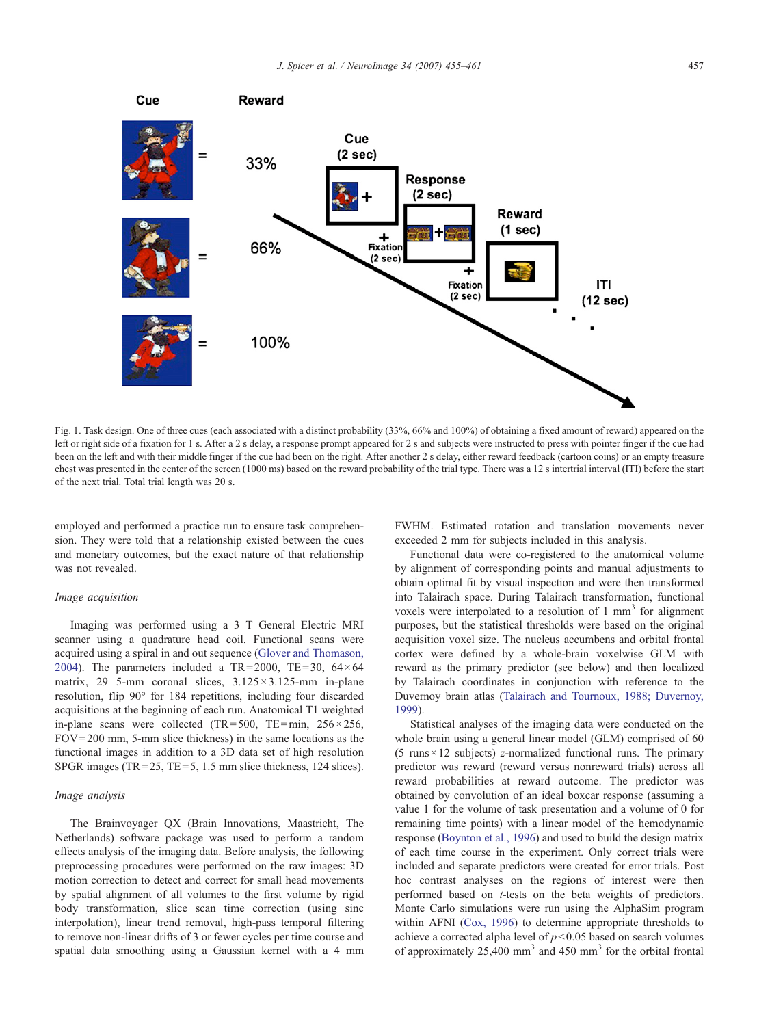

Fig. 1. Task design. One of three cues (each associated with a distinct probability (33%, 66% and 100%) of obtaining a fixed amount of reward) appeared on the left or right side of a fixation for 1 s. After a 2 s delay, a response prompt appeared for 2 s and subjects were instructed to press with pointer finger if the cue had been on the left and with their middle finger if the cue had been on the right. After another 2 s delay, either reward feedback (cartoon coins) or an empty treasure chest was presented in the center of the screen (1000 ms) based on the reward probability of the trial type. There was a 12 s intertrial interval (ITI) before the start of the next trial. Total trial length was 20 s.

employed and performed a practice run to ensure task comprehension. They were told that a relationship existed between the cues and monetary outcomes, but the exact nature of that relationship was not revealed.

#### Image acquisition

Imaging was performed using a 3 T General Electric MRI scanner using a quadrature head coil. Functional scans were acquired using a spiral in and out sequence ([Glover and Thomason,](#page-6-0) [2004](#page-6-0)). The parameters included a TR=2000, TE=30,  $64 \times 64$ matrix, 29 5-mm coronal slices,  $3.125 \times 3.125$ -mm in-plane resolution, flip 90° for 184 repetitions, including four discarded acquisitions at the beginning of each run. Anatomical T1 weighted in-plane scans were collected (TR=500, TE=min,  $256 \times 256$ , FOV= 200 mm, 5-mm slice thickness) in the same locations as the functional images in addition to a 3D data set of high resolution SPGR images (TR = 25, TE = 5, 1.5 mm slice thickness, 124 slices).

#### Image analysis

<span id="page-2-0"></span>The Brainvoyager QX (Brain Innovations, Maastricht, The Netherlands) software package was used to perform a random effects analysis of the imaging data. Before analysis, the following preprocessing procedures were performed on the raw images: 3D motion correction to detect and correct for small head movements by spatial alignment of all volumes to the first volume by rigid body transformation, slice scan time correction (using sinc interpolation), linear trend removal, high-pass temporal filtering to remove non-linear drifts of 3 or fewer cycles per time course and spatial data smoothing using a Gaussian kernel with a 4 mm FWHM. Estimated rotation and translation movements never exceeded 2 mm for subjects included in this analysis.

Functional data were co-registered to the anatomical volume by alignment of corresponding points and manual adjustments to obtain optimal fit by visual inspection and were then transformed into Talairach space. During Talairach transformation, functional voxels were interpolated to a resolution of 1 mm<sup>3</sup> for alignment purposes, but the statistical thresholds were based on the original acquisition voxel size. The nucleus accumbens and orbital frontal cortex were defined by a whole-brain voxelwise GLM with reward as the primary predictor (see below) and then localized by Talairach coordinates in conjunction with reference to the Duvernoy brain atlas [\(Talairach and Tournoux, 1988; Duvernoy,](#page-6-0) [1999](#page-6-0)).

Statistical analyses of the imaging data were conducted on the whole brain using a general linear model (GLM) comprised of 60 (5 runs  $\times$  12 subjects) z-normalized functional runs. The primary predictor was reward (reward versus nonreward trials) across all reward probabilities at reward outcome. The predictor was obtained by convolution of an ideal boxcar response (assuming a value 1 for the volume of task presentation and a volume of 0 for remaining time points) with a linear model of the hemodynamic response ([Boynton et al., 1996](#page-5-0)) and used to build the design matrix of each time course in the experiment. Only correct trials were included and separate predictors were created for error trials. Post hoc contrast analyses on the regions of interest were then performed based on t-tests on the beta weights of predictors. Monte Carlo simulations were run using the AlphaSim program within AFNI ([Cox, 1996\)](#page-5-0) to determine appropriate thresholds to achieve a corrected alpha level of  $p < 0.05$  based on search volumes of approximately 25,400 mm<sup>3</sup> and 450 mm<sup>3</sup> for the orbital frontal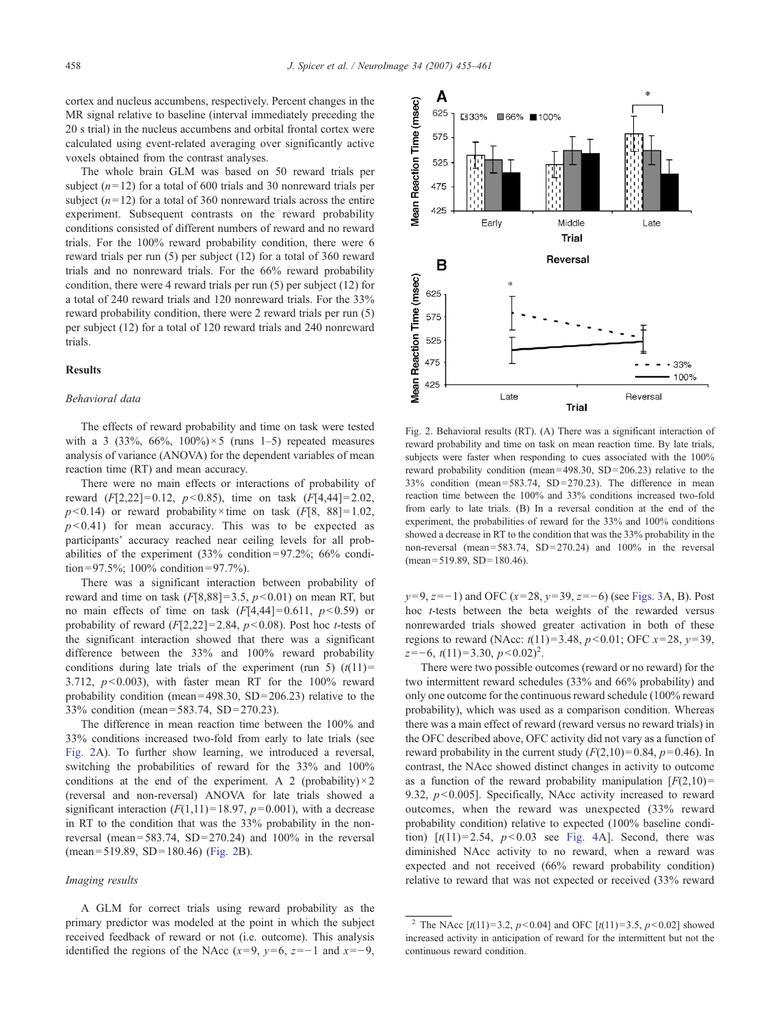cortex and nucleus accumbens, respectively. Percent changes in the MR signal relative to baseline (interval immediately preceding the 20 s trial) in the nucleus accumbens and orbital frontal cortex were calculated using event-related averaging over significantly active voxels obtained from the contrast analyses.

The whole brain GLM was based on 50 reward trials per subject  $(n=12)$  for a total of 600 trials and 30 nonreward trials per subject  $(n=12)$  for a total of 360 nonreward trials across the entire experiment. Subsequent contrasts on the reward probability conditions consisted of different numbers of reward and no reward trials. For the 100% reward probability condition, there were 6 reward trials per run (5) per subject (12) for a total of 360 reward trials and no nonreward trials. For the 66% reward probability condition, there were 4 reward trials per run (5) per subject (12) for a total of 240 reward trials and 120 nonreward trials. For the 33% reward probability condition, there were 2 reward trials per run (5) per subject (12) for a total of 120 reward trials and 240 nonreward trials.

## Results

#### Behavioral data

The effects of reward probability and time on task were tested with a 3 (33%,  $66\%$ ,  $100\%$ ) × 5 (runs 1–5) repeated measures analysis of variance (ANOVA) for the dependent variables of mean reaction time (RT) and mean accuracy.

There were no main effects or interactions of probability of reward  $(F[2,22] = 0.12, p < 0.85)$ , time on task  $(F[4,44] = 2.02,$  $p<0.14$ ) or reward probability×time on task (F[8, 88]=1.02,  $p<0.41$ ) for mean accuracy. This was to be expected as participants' accuracy reached near ceiling levels for all probabilities of the experiment  $(33\% \text{ condition} = 97.2\%; 66\% \text{ condition}$ tion =  $97.5\%$ ; 100% condition =  $97.7\%$ ).

There was a significant interaction between probability of reward and time on task  $(F[8,88] = 3.5, p < 0.01)$  on mean RT, but no main effects of time on task  $(F[4,44] = 0.611, p < 0.59)$  or probability of reward  $(F[2,22] = 2.84, p < 0.08)$ . Post hoc *t*-tests of the significant interaction showed that there was a significant difference between the 33% and 100% reward probability conditions during late trials of the experiment (run 5)  $(t(11)$  = 3.712,  $p < 0.003$ ), with faster mean RT for the 100% reward probability condition (mean= $498.30$ , SD= $206.23$ ) relative to the 33% condition (mean = 583.74, SD = 270.23).

The difference in mean reaction time between the 100% and 33% conditions increased two-fold from early to late trials (see [Fig. 2](#page-3-0)A). To further show learning, we introduced a reversal, switching the probabilities of reward for the 33% and 100% conditions at the end of the experiment. A 2 (probability) $\times$ 2 (reversal and non-reversal) ANOVA for late trials showed a significant interaction  $(F(1,11)=18.97, p=0.001)$ , with a decrease in RT to the condition that was the 33% probability in the nonreversal (mean= $583.74$ , SD= $270.24$ ) and  $100\%$  in the reversal (mean = 519.89, SD = 180.46) ([Fig. 2B](#page-3-0)).

#### Imaging results

<span id="page-3-0"></span>A GLM for correct trials using reward probability as the primary predictor was modeled at the point in which the subject received feedback of reward or not (i.e. outcome). This analysis identified the regions of the NAcc ( $x=9$ ,  $y=6$ ,  $z=-1$  and  $x=-9$ ,



Fig. 2. Behavioral results (RT). (A) There was a significant interaction of reward probability and time on task on mean reaction time. By late trials, subjects were faster when responding to cues associated with the 100% reward probability condition (mean= $498.30$ , SD= $206.23$ ) relative to the  $33\%$  condition (mean=583.74, SD=270.23). The difference in mean reaction time between the 100% and 33% conditions increased two-fold from early to late trials. (B) In a reversal condition at the end of the experiment, the probabilities of reward for the 33% and 100% conditions showed a decrease in RT to the condition that was the 33% probability in the non-reversal (mean= $583.74$ , SD= $270.24$ ) and  $100\%$  in the reversal  $(mean = 519.89, SD = 180.46).$ 

 $y=9, z=-1$ ) and OFC (x=28, y=39, z=−6) (see [Figs. 3](#page-4-0)A, B). Post hoc t-tests between the beta weights of the rewarded versus nonrewarded trials showed greater activation in both of these regions to reward (NAcc:  $t(11)=3.48, p<0.01$ ; OFC  $x=28, y=39$ ,  $z=-6$ ,  $t(11)=3.30$ ,  $p<0.02$ )<sup>2</sup>.

There were two possible outcomes (reward or no reward) for the two intermittent reward schedules (33% and 66% probability) and only one outcome for the continuous reward schedule (100% reward probability), which was used as a comparison condition. Whereas there was a main effect of reward (reward versus no reward trials) in the OFC described above, OFC activity did not vary as a function of reward probability in the current study  $(F(2,10)=0.84, p=0.46)$ . In contrast, the NAcc showed distinct changes in activity to outcome as a function of the reward probability manipulation  $[F(2,10) =$ 9.32,  $p<0.005$ ]. Specifically, NAcc activity increased to reward outcomes, when the reward was unexpected (33% reward probability condition) relative to expected (100% baseline condition)  $[t(11)=2.54, p<0.03$  see [Fig. 4](#page-4-0)A. Second, there was diminished NAcc activity to no reward, when a reward was expected and not received (66% reward probability condition) relative to reward that was not expected or received (33% reward

The NAcc  $[t(11)=3.2, p<0.04]$  and OFC  $[t(11)=3.5, p<0.02]$  showed increased activity in anticipation of reward for the intermittent but not the continuous reward condition.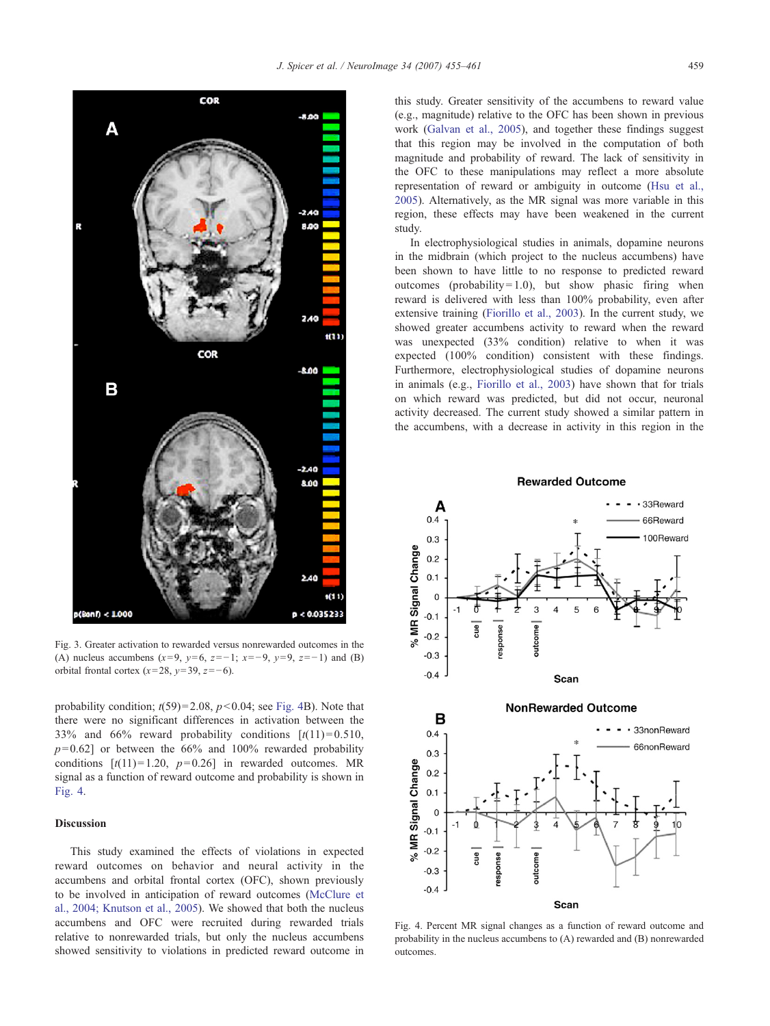

Fig. 3. Greater activation to rewarded versus nonrewarded outcomes in the (A) nucleus accumbens  $(x=9, y=6, z=-1; x=-9, y=9, z=-1)$  and (B) orbital frontal cortex  $(x=28, y=39, z=-6)$ .

probability condition;  $t(59)=2.08$ ,  $p<0.04$ ; see [Fig. 4B](#page-4-0)). Note that there were no significant differences in activation between the 33% and 66% reward probability conditions  $[t(11)=0.510]$ ,  $p=0.62$ ] or between the 66% and 100% rewarded probability conditions  $[t(11)=1.20, p=0.26]$  in rewarded outcomes. MR signal as a function of reward outcome and probability is shown in [Fig. 4](#page-4-0).

#### Discussion

<span id="page-4-0"></span>This study examined the effects of violations in expected reward outcomes on behavior and neural activity in the accumbens and orbital frontal cortex (OFC), shown previously to be involved in anticipation of reward outcomes ([McClure et](#page-6-0) [al., 2004; Knutson et al., 2005](#page-6-0)). We showed that both the nucleus accumbens and OFC were recruited during rewarded trials relative to nonrewarded trials, but only the nucleus accumbens showed sensitivity to violations in predicted reward outcome in this study. Greater sensitivity of the accumbens to reward value (e.g., magnitude) relative to the OFC has been shown in previous work ([Galvan et al., 2005](#page-6-0)), and together these findings suggest that this region may be involved in the computation of both magnitude and probability of reward. The lack of sensitivity in the OFC to these manipulations may reflect a more absolute representation of reward or ambiguity in outcome ([Hsu et al.,](#page-6-0) [2005](#page-6-0)). Alternatively, as the MR signal was more variable in this region, these effects may have been weakened in the current study.

In electrophysiological studies in animals, dopamine neurons in the midbrain (which project to the nucleus accumbens) have been shown to have little to no response to predicted reward outcomes (probability= $1.0$ ), but show phasic firing when reward is delivered with less than 100% probability, even after extensive training [\(Fiorillo et al., 2003\)](#page-6-0). In the current study, we showed greater accumbens activity to reward when the reward was unexpected (33% condition) relative to when it was expected (100% condition) consistent with these findings. Furthermore, electrophysiological studies of dopamine neurons in animals (e.g., [Fiorillo et al., 2003\)](#page-6-0) have shown that for trials on which reward was predicted, but did not occur, neuronal activity decreased. The current study showed a similar pattern in the accumbens, with a decrease in activity in this region in the

**Rewarded Outcome** 



**NonRewarded Outcome** 



Fig. 4. Percent MR signal changes as a function of reward outcome and probability in the nucleus accumbens to (A) rewarded and (B) nonrewarded outcomes.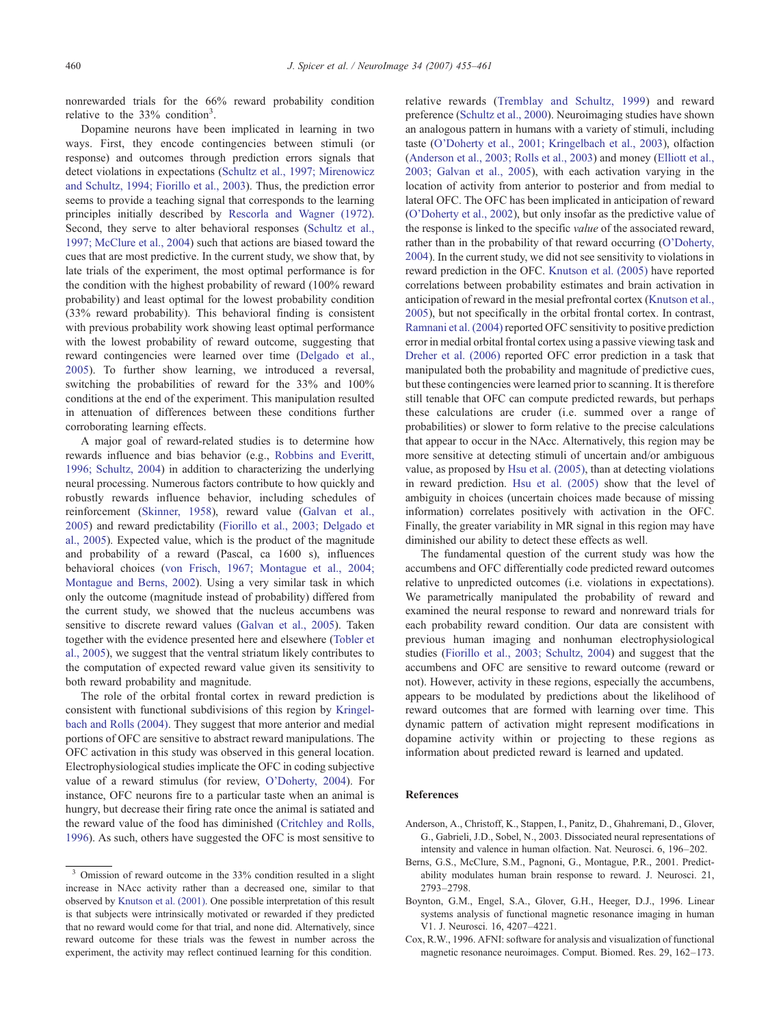nonrewarded trials for the 66% reward probability condition relative to the  $33\%$  condition<sup>3</sup>.

Dopamine neurons have been implicated in learning in two ways. First, they encode contingencies between stimuli (or response) and outcomes through prediction errors signals that detect violations in expectations ([Schultz et al., 1997; Mirenowicz](#page-6-0) [and Schultz, 1994; Fiorillo et al., 2003](#page-6-0)). Thus, the prediction error seems to provide a teaching signal that corresponds to the learning principles initially described by [Rescorla and Wagner \(1972\).](#page-6-0) Second, they serve to alter behavioral responses [\(Schultz et al.,](#page-6-0) [1997; McClure et al., 2004](#page-6-0)) such that actions are biased toward the cues that are most predictive. In the current study, we show that, by late trials of the experiment, the most optimal performance is for the condition with the highest probability of reward (100% reward probability) and least optimal for the lowest probability condition (33% reward probability). This behavioral finding is consistent with previous probability work showing least optimal performance with the lowest probability of reward outcome, suggesting that reward contingencies were learned over time [\(Delgado et al.,](#page-6-0) [2005\)](#page-6-0). To further show learning, we introduced a reversal, switching the probabilities of reward for the 33% and 100% conditions at the end of the experiment. This manipulation resulted in attenuation of differences between these conditions further corroborating learning effects.

A major goal of reward-related studies is to determine how rewards influence and bias behavior (e.g., [Robbins and Everitt,](#page-6-0) [1996; Schultz, 2004\)](#page-6-0) in addition to characterizing the underlying neural processing. Numerous factors contribute to how quickly and robustly rewards influence behavior, including schedules of reinforcement ([Skinner, 1958\)](#page-6-0), reward value [\(Galvan et al.,](#page-6-0) [2005\)](#page-6-0) and reward predictability [\(Fiorillo et al., 2003; Delgado et](#page-6-0) [al., 2005](#page-6-0)). Expected value, which is the product of the magnitude and probability of a reward (Pascal, ca 1600 s), influences behavioral choices ([von Frisch, 1967; Montague et al., 2004;](#page-6-0) [Montague and Berns, 2002](#page-6-0)). Using a very similar task in which only the outcome (magnitude instead of probability) differed from the current study, we showed that the nucleus accumbens was sensitive to discrete reward values [\(Galvan et al., 2005\)](#page-6-0). Taken together with the evidence presented here and elsewhere ([Tobler et](#page-6-0) [al., 2005\)](#page-6-0), we suggest that the ventral striatum likely contributes to the computation of expected reward value given its sensitivity to both reward probability and magnitude.

The role of the orbital frontal cortex in reward prediction is consistent with functional subdivisions of this region by [Kringel](#page-6-0)[bach and Rolls \(2004\)](#page-6-0). They suggest that more anterior and medial portions of OFC are sensitive to abstract reward manipulations. The OFC activation in this study was observed in this general location. Electrophysiological studies implicate the OFC in coding subjective value of a reward stimulus (for review, O'[Doherty, 2004\)](#page-6-0). For instance, OFC neurons fire to a particular taste when an animal is hungry, but decrease their firing rate once the animal is satiated and the reward value of the food has diminished [\(Critchley and Rolls,](#page-6-0) [1996\)](#page-6-0). As such, others have suggested the OFC is most sensitive to relative rewards ([Tremblay and Schultz, 1999\)](#page-6-0) and reward preference ([Schultz et al., 2000](#page-6-0)). Neuroimaging studies have shown an analogous pattern in humans with a variety of stimuli, including taste (O'[Doherty et al., 2001; Kringelbach et al., 2003](#page-6-0)), olfaction ([Anderson et al., 2003; Rolls et al., 2003\)](#page-5-0) and money ([Elliott et al.,](#page-6-0) [2003; Galvan et al., 2005](#page-6-0)), with each activation varying in the location of activity from anterior to posterior and from medial to lateral OFC. The OFC has been implicated in anticipation of reward (O'[Doherty et al., 2002](#page-6-0)), but only insofar as the predictive value of the response is linked to the specific value of the associated reward, rather than in the probability of that reward occurring (O'[Doherty,](#page-6-0) [2004\)](#page-6-0). In the current study, we did not see sensitivity to violations in reward prediction in the OFC. [Knutson et al. \(2005\)](#page-6-0) have reported correlations between probability estimates and brain activation in anticipation of reward in the mesial prefrontal cortex ([Knutson et al.,](#page-6-0) [2005\)](#page-6-0), but not specifically in the orbital frontal cortex. In contrast, [Ramnani et al. \(2004\)](#page-6-0) reported OFC sensitivity to positive prediction error in medial orbital frontal cortex using a passive viewing task and [Dreher et al. \(2006\)](#page-6-0) reported OFC error prediction in a task that manipulated both the probability and magnitude of predictive cues, but these contingencies were learned prior to scanning. It is therefore still tenable that OFC can compute predicted rewards, but perhaps these calculations are cruder (i.e. summed over a range of probabilities) or slower to form relative to the precise calculations that appear to occur in the NAcc. Alternatively, this region may be more sensitive at detecting stimuli of uncertain and/or ambiguous value, as proposed by [Hsu et al. \(2005\),](#page-6-0) than at detecting violations in reward prediction. [Hsu et al. \(2005\)](#page-6-0) show that the level of ambiguity in choices (uncertain choices made because of missing information) correlates positively with activation in the OFC. Finally, the greater variability in MR signal in this region may have diminished our ability to detect these effects as well.

The fundamental question of the current study was how the accumbens and OFC differentially code predicted reward outcomes relative to unpredicted outcomes (i.e. violations in expectations). We parametrically manipulated the probability of reward and examined the neural response to reward and nonreward trials for each probability reward condition. Our data are consistent with previous human imaging and nonhuman electrophysiological studies ([Fiorillo et al., 2003; Schultz, 2004\)](#page-6-0) and suggest that the accumbens and OFC are sensitive to reward outcome (reward or not). However, activity in these regions, especially the accumbens, appears to be modulated by predictions about the likelihood of reward outcomes that are formed with learning over time. This dynamic pattern of activation might represent modifications in dopamine activity within or projecting to these regions as information about predicted reward is learned and updated.

#### References

- Anderson, A., Christoff, K., Stappen, I., Panitz, D., Ghahremani, D., Glover, G., Gabrieli, J.D., Sobel, N., 2003. Dissociated neural representations of intensity and valence in human olfaction. Nat. Neurosci. 6, 196–202.
- Berns, G.S., McClure, S.M., Pagnoni, G., Montague, P.R., 2001. Predictability modulates human brain response to reward. J. Neurosci. 21, 2793–2798.
- Boynton, G.M., Engel, S.A., Glover, G.H., Heeger, D.J., 1996. Linear systems analysis of functional magnetic resonance imaging in human V1. J. Neurosci. 16, 4207–4221.
- Cox, R.W., 1996. AFNI: software for analysis and visualization of functional magnetic resonance neuroimages. Comput. Biomed. Res. 29, 162–173.

<span id="page-5-0"></span><sup>&</sup>lt;sup>3</sup> Omission of reward outcome in the 33% condition resulted in a slight increase in NAcc activity rather than a decreased one, similar to that observed by [Knutson et al. \(2001\).](#page-6-0) One possible interpretation of this result is that subjects were intrinsically motivated or rewarded if they predicted that no reward would come for that trial, and none did. Alternatively, since reward outcome for these trials was the fewest in number across the experiment, the activity may reflect continued learning for this condition.